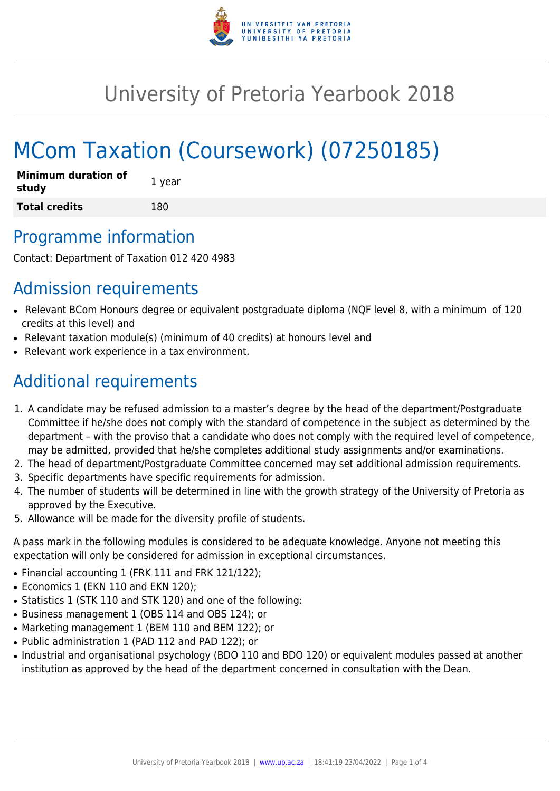

## University of Pretoria Yearbook 2018

# MCom Taxation (Coursework) (07250185)

| <b>Minimum duration of</b><br>study | 1 year |
|-------------------------------------|--------|
| <b>Total credits</b>                | 180    |

### Programme information

Contact: Department of Taxation 012 420 4983

### Admission requirements

- Relevant BCom Honours degree or equivalent postgraduate diploma (NQF level 8, with a minimum of 120 credits at this level) and
- Relevant taxation module(s) (minimum of 40 credits) at honours level and
- Relevant work experience in a tax environment.

### Additional requirements

- 1. A candidate may be refused admission to a master's degree by the head of the department/Postgraduate Committee if he/she does not comply with the standard of competence in the subject as determined by the department – with the proviso that a candidate who does not comply with the required level of competence, may be admitted, provided that he/she completes additional study assignments and/or examinations.
- 2. The head of department/Postgraduate Committee concerned may set additional admission requirements.
- 3. Specific departments have specific requirements for admission.
- 4. The number of students will be determined in line with the growth strategy of the University of Pretoria as approved by the Executive.
- 5. Allowance will be made for the diversity profile of students.

A pass mark in the following modules is considered to be adequate knowledge. Anyone not meeting this expectation will only be considered for admission in exceptional circumstances.

- Financial accounting 1 (FRK 111 and FRK 121/122);
- Economics 1 (EKN 110 and EKN 120);
- Statistics 1 (STK 110 and STK 120) and one of the following:
- Business management 1 (OBS 114 and OBS 124); or
- Marketing management 1 (BEM 110 and BEM 122); or
- Public administration 1 (PAD 112 and PAD 122); or
- Industrial and organisational psychology (BDO 110 and BDO 120) or equivalent modules passed at another institution as approved by the head of the department concerned in consultation with the Dean.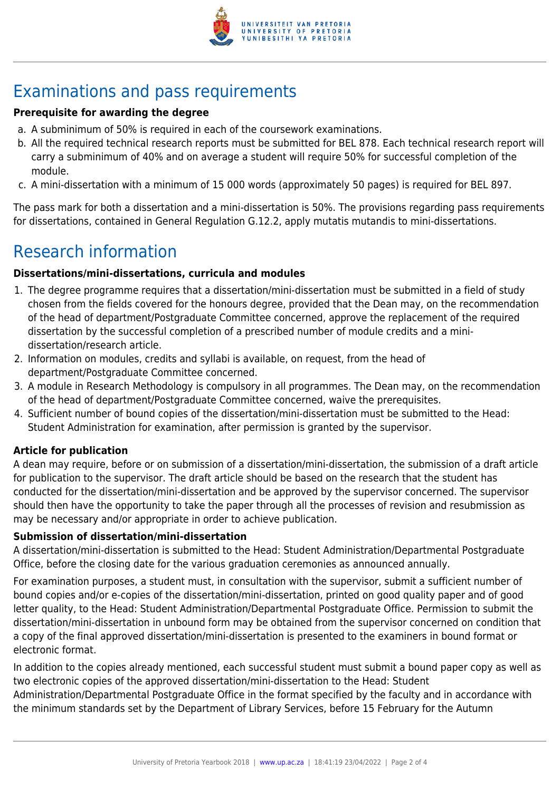

### Examinations and pass requirements

#### **Prerequisite for awarding the degree**

- a. A subminimum of 50% is required in each of the coursework examinations.
- b. All the required technical research reports must be submitted for BEL 878. Each technical research report will carry a subminimum of 40% and on average a student will require 50% for successful completion of the module.
- c. A mini-dissertation with a minimum of 15 000 words (approximately 50 pages) is required for BEL 897.

The pass mark for both a dissertation and a mini-dissertation is 50%. The provisions regarding pass requirements for dissertations, contained in General Regulation G.12.2, apply mutatis mutandis to mini-dissertations.

### Research information

#### **Dissertations/mini-dissertations, curricula and modules**

- 1. The degree programme requires that a dissertation/mini-dissertation must be submitted in a field of study chosen from the fields covered for the honours degree, provided that the Dean may, on the recommendation of the head of department/Postgraduate Committee concerned, approve the replacement of the required dissertation by the successful completion of a prescribed number of module credits and a minidissertation/research article.
- 2. Information on modules, credits and syllabi is available, on request, from the head of department/Postgraduate Committee concerned.
- 3. A module in Research Methodology is compulsory in all programmes. The Dean may, on the recommendation of the head of department/Postgraduate Committee concerned, waive the prerequisites.
- 4. Sufficient number of bound copies of the dissertation/mini-dissertation must be submitted to the Head: Student Administration for examination, after permission is granted by the supervisor.

#### **Article for publication**

A dean may require, before or on submission of a dissertation/mini-dissertation, the submission of a draft article for publication to the supervisor. The draft article should be based on the research that the student has conducted for the dissertation/mini-dissertation and be approved by the supervisor concerned. The supervisor should then have the opportunity to take the paper through all the processes of revision and resubmission as may be necessary and/or appropriate in order to achieve publication.

#### **Submission of dissertation/mini-dissertation**

A dissertation/mini-dissertation is submitted to the Head: Student Administration/Departmental Postgraduate Office, before the closing date for the various graduation ceremonies as announced annually.

For examination purposes, a student must, in consultation with the supervisor, submit a sufficient number of bound copies and/or e-copies of the dissertation/mini-dissertation, printed on good quality paper and of good letter quality, to the Head: Student Administration/Departmental Postgraduate Office. Permission to submit the dissertation/mini-dissertation in unbound form may be obtained from the supervisor concerned on condition that a copy of the final approved dissertation/mini-dissertation is presented to the examiners in bound format or electronic format.

In addition to the copies already mentioned, each successful student must submit a bound paper copy as well as two electronic copies of the approved dissertation/mini-dissertation to the Head: Student Administration/Departmental Postgraduate Office in the format specified by the faculty and in accordance with the minimum standards set by the Department of Library Services, before 15 February for the Autumn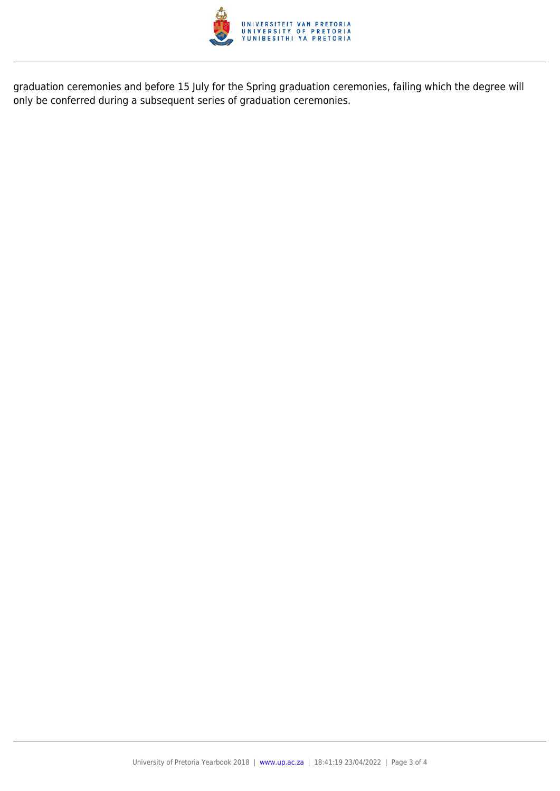

graduation ceremonies and before 15 July for the Spring graduation ceremonies, failing which the degree will only be conferred during a subsequent series of graduation ceremonies.